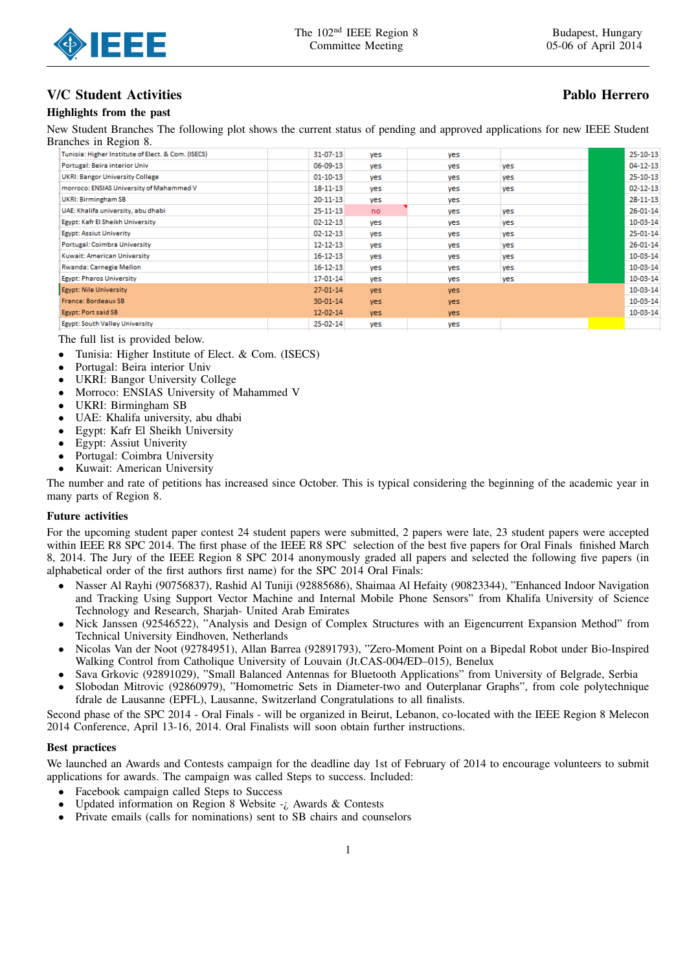

## V/C Student Activities **Pablo Herrero** Pablo Herrero

### Highlights from the past

New Student Branches The following plot shows the current status of pending and approved applications for new IEEE Student Branches in Region 8.

| Tunisia: Higher Institute of Elect. & Com. (ISECS) | 31-07-13       | yes  | yes  |     | 25-10-13       |
|----------------------------------------------------|----------------|------|------|-----|----------------|
| Portugal: Beira interior Univ                      | 06-09-13       | yes  | yes  | yes | $04 - 12 - 13$ |
| <b>UKRI: Bangor University College</b>             | $01 - 10 - 13$ | yes  | yes  | yes | 25-10-13       |
| morroco: ENSIAS University of Mahammed V           | $18 - 11 - 13$ | yes  | yes  | yes | $02 - 12 - 13$ |
| UKRI: Birmingham SB                                | $20 - 11 - 13$ | yes  | yes  |     | $28 - 11 - 13$ |
| UAE: Khalifa university, abu dhabi                 | $25 - 11 - 13$ | no   | yes  | yes | $26 - 01 - 14$ |
| Egypt: Kafr El Sheikh University                   | $02 - 12 - 13$ | yes  | yes  | yes | 10-03-14       |
| Egypt: Assiut Univerity                            | $02 - 12 - 13$ | yes  | yes  | yes | $25 - 01 - 14$ |
| Portugal: Coimbra University                       | $12 - 12 - 13$ | yes  | yes  | yes | $26 - 01 - 14$ |
| Kuwait: American University                        | $16 - 12 - 13$ | ves  | yes  | yes | $10-03-14$     |
| Rwanda: Carnegie Mellon                            | $16 - 12 - 13$ | ves  | yes  | yes | 10-03-14       |
| <b>Egypt: Pharos University</b>                    | 17-01-14       | ves  | yes  | yes | 10-03-14       |
| Egypt: Nile University                             | $27 - 01 - 14$ | yes. | yes. |     | $10-03-14$     |
| France: Bordeaux SB                                | $30 - 01 - 14$ | yes. | yes  |     | 10-03-14       |
| Egypt: Port said SB                                | $12 - 02 - 14$ | yes. | yes  |     | 10-03-14       |
| <b>Egypt: South Valley University</b>              | 25-02-14       | ves  | yes  |     |                |
|                                                    |                |      |      |     |                |

The full list is provided below.

- Tunisia: Higher Institute of Elect. & Com. (ISECS)
- Portugal: Beira interior Univ
- UKRI: Bangor University College
- Morroco: ENSIAS University of Mahammed V
- UKRI: Birmingham SB
- UAE: Khalifa university, abu dhabi
- Egypt: Kafr El Sheikh University
- Egypt: Assiut Univerity
- Portugal: Coimbra University
- Kuwait: American University

The number and rate of petitions has increased since October. This is typical considering the beginning of the academic year in many parts of Region 8.

#### Future activities

For the upcoming student paper contest 24 student papers were submitted, 2 papers were late, 23 student papers were accepted within IEEE R8 SPC 2014. The first phase of the IEEE R8 SPC selection of the best five papers for Oral Finals finished March 8, 2014. The Jury of the IEEE Region 8 SPC 2014 anonymously graded all papers and selected the following five papers (in alphabetical order of the first authors first name) for the SPC 2014 Oral Finals:

- Nasser Al Rayhi (90756837), Rashid Al Tuniji (92885686), Shaimaa Al Hefaity (90823344), "Enhanced Indoor Navigation and Tracking Using Support Vector Machine and Internal Mobile Phone Sensors" from Khalifa University of Science Technology and Research, Sharjah- United Arab Emirates
- Nick Janssen (92546522), "Analysis and Design of Complex Structures with an Eigencurrent Expansion Method" from Technical University Eindhoven, Netherlands
- Nicolas Van der Noot (92784951), Allan Barrea (92891793), "Zero-Moment Point on a Bipedal Robot under Bio-Inspired Walking Control from Catholique University of Louvain (Jt.CAS-004/ED–015), Benelux
- Sava Grkovic (92891029), "Small Balanced Antennas for Bluetooth Applications" from University of Belgrade, Serbia
- Slobodan Mitrovic (92860979), "Homometric Sets in Diameter-two and Outerplanar Graphs", from cole polytechnique fdrale de Lausanne (EPFL), Lausanne, Switzerland Congratulations to all finalists.

Second phase of the SPC 2014 - Oral Finals - will be organized in Beirut, Lebanon, co-located with the IEEE Region 8 Melecon 2014 Conference, April 13-16, 2014. Oral Finalists will soon obtain further instructions.

#### Best practices

We launched an Awards and Contests campaign for the deadline day 1st of February of 2014 to encourage volunteers to submit applications for awards. The campaign was called Steps to success. Included:

- Facebook campaign called Steps to Success
- Updated information on Region 8 Website  $-i$ , Awards & Contests
- Private emails (calls for nominations) sent to SB chairs and counselors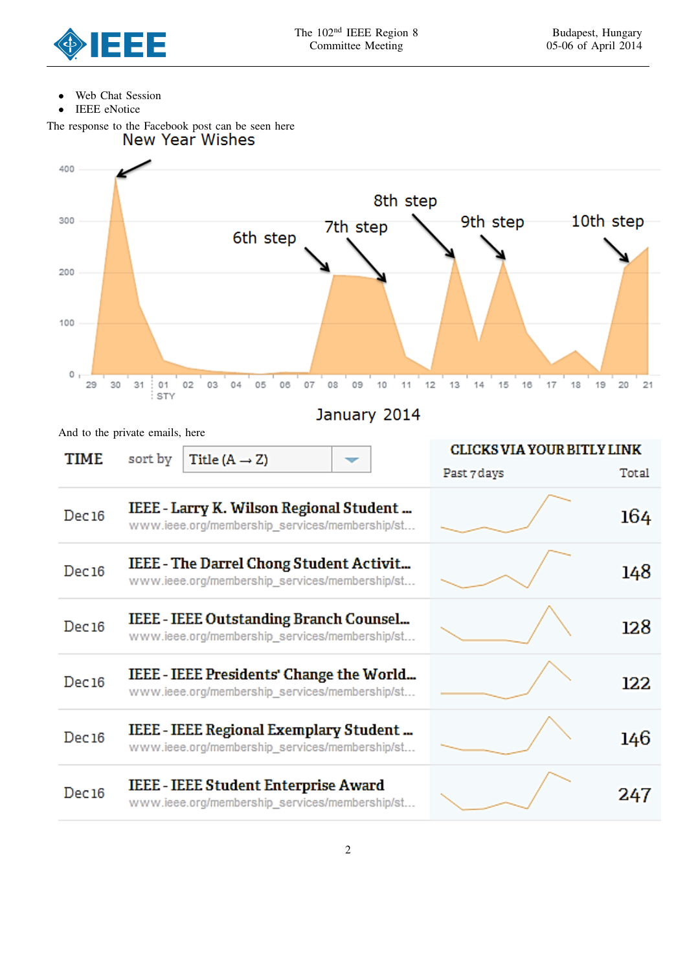

12.8

122

146

247

- Web Chat Session
- IEEE eNotice

The response to the Facebook post can be seen here<br>New Year Wishes



# Dec<sub>16</sub> www.ieee.org/membership\_services/membership/st... IEEE - IEEE Presidents' Change the World... Dec<sub>16</sub> www.ieee.org/membership\_services/membership/st... IEEE - IEEE Regional Exemplary Student...

www.ieee.org/membership\_services/membership/st...

IEEE - IEEE Outstanding Branch Counsel...

- Dec<sub>16</sub> www.ieee.org/membership\_services/membership/st...
- **IEEE IEEE Student Enterprise Award** Dec<sub>16</sub> www.ieee.org/membership services/membership/st...